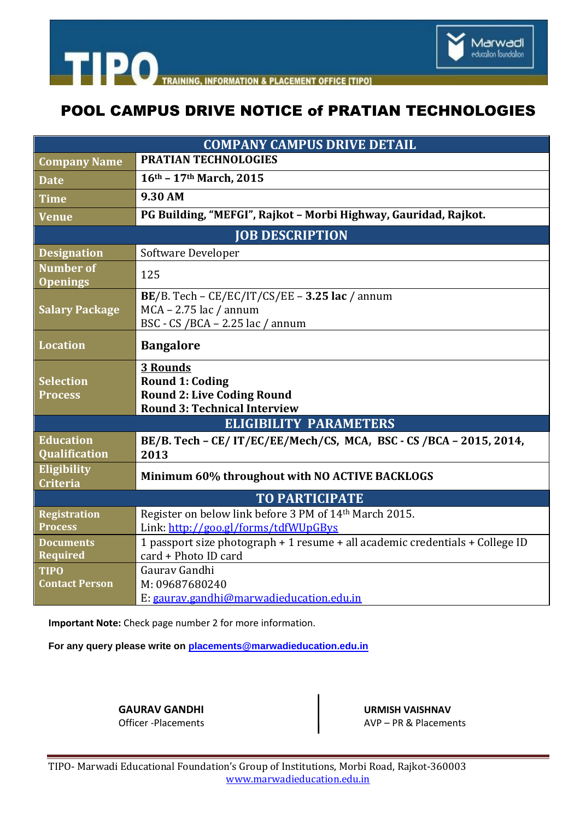

**TIPO**TRAINING **INFORMATION & PLACEMENT OFFICE ITIPOI** 

## POOL CAMPUS DRIVE NOTICE of PRATIAN TECHNOLOGIES

| <b>PRATIAN TECHNOLOGIES</b><br>16th - 17th March, 2015                                                                |
|-----------------------------------------------------------------------------------------------------------------------|
|                                                                                                                       |
|                                                                                                                       |
| 9.30 AM                                                                                                               |
| PG Building, "MEFGI", Rajkot - Morbi Highway, Gauridad, Rajkot.                                                       |
| <b>JOB DESCRIPTION</b>                                                                                                |
| Software Developer                                                                                                    |
| 125                                                                                                                   |
| BE/B. Tech - $CE/EC/IT/CS/EE$ - 3.25 lac / annum<br>$MCA - 2.75$ lac / annum<br>BSC - CS /BCA - 2.25 lac / annum      |
| <b>Bangalore</b>                                                                                                      |
| <b>3 Rounds</b><br><b>Round 1: Coding</b><br><b>Round 2: Live Coding Round</b><br><b>Round 3: Technical Interview</b> |
| <b>ELIGIBILITY PARAMETERS</b>                                                                                         |
| BE/B. Tech - CE/IT/EC/EE/Mech/CS, MCA, BSC - CS/BCA - 2015, 2014,<br>2013                                             |
| Minimum 60% throughout with NO ACTIVE BACKLOGS                                                                        |
| <b>TO PARTICIPATE</b>                                                                                                 |
| Register on below link before 3 PM of 14th March 2015.<br>Link: http://goo.gl/forms/tdfWUpGBys                        |
| 1 passport size photograph + 1 resume + all academic credentials + College ID<br>card + Photo ID card                 |
| Gauray Gandhi<br>M: 09687680240<br>E: gaurav.gandhi@marwadieducation.edu.in                                           |
|                                                                                                                       |

**Important Note:** Check page number 2 for more information.

**For any query please write on [placements@marwadieducation.edu.in](mailto:placements@marwadieducation.edu.in)**

**GAURAV GANDHI** URMISH VAISHNAV<br>Officer -Placements URMISH VAISHNAV AVP – PR & Placements